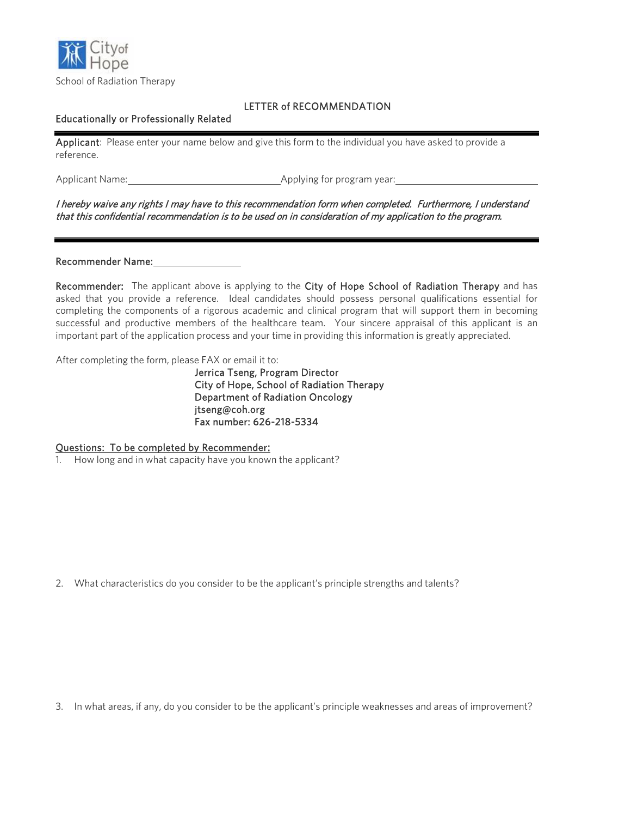

# LETTER of RECOMMENDATION

## Educationally or Professionally Related

Applicant: Please enter your name below and give this form to the individual you have asked to provide a reference.

Applicant Name: Applying for program year:

## I hereby waive any rights I may have to this recommendation form when completed. Furthermore, I understand that this confidential recommendation is to be used on in consideration of my application to the program.

### Recommender Name:

Recommender: The applicant above is applying to the City of Hope School of Radiation Therapy and has asked that you provide a reference. Ideal candidates should possess personal qualifications essential for completing the components of a rigorous academic and clinical program that will support them in becoming successful and productive members of the healthcare team. Your sincere appraisal of this applicant is an important part of the application process and your time in providing this information is greatly appreciated.

After completing the form, please FAX or email it to:

Jerrica Tseng, Program Director City of Hope, School of Radiation Therapy Department of Radiation Oncology jtseng@coh.org Fax number: 626-218-5334

### Questions: To be completed by Recommender:

1. How long and in what capacity have you known the applicant?

2. What characteristics do you consider to be the applicant's principle strengths and talents?

3. In what areas, if any, do you consider to be the applicant's principle weaknesses and areas of improvement?